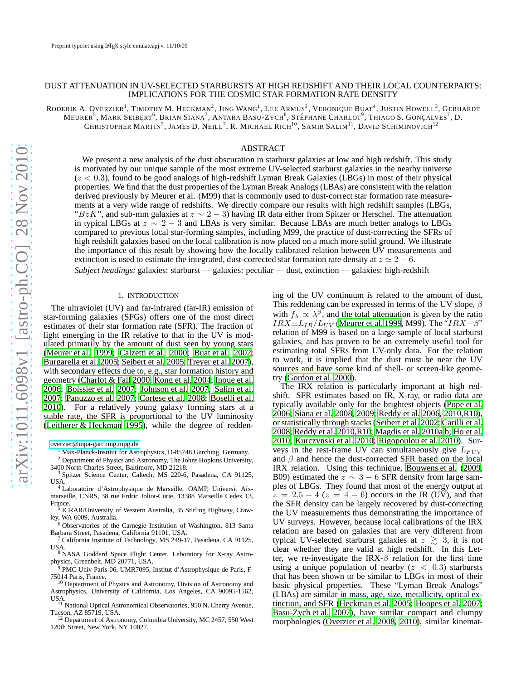# DUST ATTENUATION IN UV-SELECTED STARBURSTS AT HIGH REDSHIFT AND THEIR LOCAL COUNTERPARTS: IMPLICATIONS FOR THE COSMIC STAR FORMATION RATE DENSITY

RODERIK A. OVERZIER<sup>1</sup>, TIMOTHY M. HECKMAN<sup>2</sup>, JING WANG<sup>1</sup>, LEE ARMUS<sup>3</sup>, VERONIQUE BUAT<sup>4</sup>, JUSTIN HOWELL<sup>3</sup>, GERHARDT MEURER<sup>5</sup>, MARK SEIBERT<sup>6</sup>, BRIAN SIANA<sup>7</sup>, ANTARA BASU-ZYCH<sup>8</sup>, STÉPHANE CHARLOT<sup>9</sup>, THIAGO S. GONÇALVES<sup>7</sup>, D.

CHRISTOPHER MARTIN<sup>7</sup>, JAMES D. NEILL<sup>7</sup>, R. MICHAEL RICH<sup>10</sup>, SAMIR SALIM<sup>11</sup>, DAVID SCHIMINOVICH<sup>12</sup>

# ABSTRACT

We present a new analysis of the dust obscuration in starburst galaxies at low and high redshift. This study is motivated by our unique sample of the most extreme UV-selected starburst galaxies in the nearby universe  $(z < 0.3)$ , found to be good analogs of high-redshift Lyman Break Galaxies (LBGs) in most of their physical properties. We find that the dust properties of the Lyman Break Analogs (LBAs) are consistent with the relation derived previously by Meurer et al. (M99) that is commonly used to dust-correct star formation rate measurements at a very wide range of redshifts. We directly compare our results with high redshift samples (LBGs, "BzK", and sub-mm galaxies at  $z \sim 2 - 3$ ) having IR data either from Spitzer or Herschel. The attenuation in typical LBGs at  $z \sim 2 - 3$  and LBAs is very similar. Because LBAs are much better analogs to LBGs compared to previous local star-forming samples, including M99, the practice of dust-correcting the SFRs of high redshift galaxies based on the local calibration is now placed on a much more solid ground. We illustrate the importance of this result by showing how the locally calibrated relation between UV measurements and extinction is used to estimate the integrated, dust-corrected star formation rate density at  $z \approx 2 - 6$ .

*Subject headings:* galaxies: starburst — galaxies: peculiar — dust, extinction — galaxies: high-redshift

#### 1. INTRODUCTION

The ultraviolet (UV) and far-infrared (far-IR) emission of star-forming galaxies (SFGs) offers one of the most direct estimates of their star formation rate (SFR). The fraction of light emerging in the IR relative to that in the UV is modulated primarily by the amount of dust seen by young stars [\(Meurer et al. 1999;](#page-5-0) [Calzetti et al. 2000;](#page-5-1) [Buat et al. 2002;](#page-5-2) [Burgarella et al. 2005;](#page-5-3) [Seibert et al. 2005](#page-5-4); [Treyer et al. 2007\)](#page-5-5), with secondary effects due to, e.g., star formation history and geometry [\(Charlot & Fall 2000;](#page-5-6) [Kong et al. 2004;](#page-5-7) [Inoue et al.](#page-5-8) [2006;](#page-5-8) [Boissier et al. 2007;](#page-5-9) [Johnson et al. 2007;](#page-5-10) [Salim et al.](#page-5-11) [2007;](#page-5-11) [Panuzzo et al. 2007](#page-5-12); [Cortese et al. 2008;](#page-5-13) [Boselli et al.](#page-5-14) [2010\)](#page-5-14). For a relatively young galaxy forming stars at a stable rate, the SFR is proportional to the UV luminosity [\(Leitherer & Heckman 1995](#page-5-15)), while the degree of redden-

[overzier@mpa-garching.mpg.de](mailto:overzier@mpa-garching.mpg.de)

<sup>1</sup> Max-Planck-Institut for Astrophysics, D-85748 Garching, Germany.

<sup>2</sup> Department of Physics and Astronomy, The Johns Hopkins University, 3400 North Charles Street, Baltimore, MD 21218.

<sup>3</sup> Spitzer Science Center, Caltech, MS 220-6, Pasadena, CA 91125, USA.

<sup>4</sup> Laboratoire d'Astrophysique de Marseille, OAMP, Universit Aixmarseille, CNRS, 38 rue Frdric Joliot-Curie, 13388 Marseille Cedex 13, France.

5 ICRAR/University of Western Australia, 35 Stirling Highway, Crawley, WA 6009, Australia.

<sup>6</sup> Observatories of the Carnegie Institution of Washington, 813 Santa Barbara Street, Pasadena, California 91101, USA.

<sup>7</sup> California Institute of Technology, MS 249-17, Pasadena, CA 91125, USA.

<sup>8</sup> NASA Goddard Space Flight Center, Laboratory for X-ray Astrophysics, Greenbelt, MD 20771, USA.

<sup>9</sup> PMC Univ Paris 06, UMR7095, Institut d'Astrophysique de Paris, F-75014 Paris, France. <sup>10</sup> Deptartment of Physics and Astronomy, Division of Astronomy and

Astrophysics, University of California, Los Angeles, CA 90095-1562,

USA. <sup>11</sup> National Optical Astronomical Observatories, 950 N. Cherry Avenue,

Tucson, AZ 85719, USA. <sup>12</sup> Department of Astronomy, Columbia University, MC 2457, 550 West 120th Street, New York, NY 10027.

ing of the UV continuum is related to the amount of dust. This reddening can be expressed in terms of the UV slope,  $\beta$ with  $f_{\lambda} \propto \lambda^{\beta}$ , and the total attenuation is given by the ratio  $IRX\equiv L_{IR}/L_{UV}$  [\(Meurer et al. 1999,](#page-5-0) M99). The " $IRX-\beta$ " relation of M99 is based on a large sample of local starburst galaxies, and has proven to be an extremely useful tool for estimating total SFRs from UV-only data. For the relation to work, it is implied that the dust must be near the UV sources and have some kind of shell- or screen-like geometry [\(Gordon et al. 2000](#page-5-16)).

The IRX relation is particularly important at high redshift. SFR estimates based on IR, X-ray, or radio data are typically available only for the brightest objects [\(Pope et](#page-5-17) al. [2006;](#page-5-17) [Siana et al. 2008](#page-5-18), [2009;](#page-5-19) [Reddy et al. 2006,](#page-5-20) [2010,R10](#page-5-21)), or statistically through stacks [\(Seibert et al. 2002;](#page-5-22) [Carilli et al.](#page-5-23) [2008;](#page-5-23) [Reddy et al. 2010,R10;](#page-5-21) [Magdis et al. 2010a](#page-5-24)[,b;](#page-5-25) [Ho et al.](#page-5-26) [2010;](#page-5-26) [Kurczynski et al. 2010;](#page-5-27) [Rigopoulou et al. 2010\)](#page-5-28). Surveys in the rest-frame UV can simultaneously give  $L_{FUV}$ and  $\beta$  and hence the dust-corrected SFR based on the local IRX relation. Using this technique, [Bouwens et al.](#page-5-29) [\(2009,](#page-5-29) B09) estimated the  $z \sim 3 - 6$  SFR density from large samples of LBGs. They found that most of the energy output at  $z = 2.5 - 4$  ( $z = 4 - 6$ ) occurs in the IR (UV), and that the SFR density can be largely recovered by dust-correcting the UV measurements thus demonstrating the importance of UV surveys. However, because local calibrations of the IRX relation are based on galaxies that are very different from typical UV-selected starburst galaxies at  $z \gtrsim 3$ , it is not clear whether they are valid at high redshift. In this Letter, we re-investigate the IRX- $\beta$  relation for the first time using a unique population of nearby  $(z < 0.3)$  starbursts that has been shown to be similar to LBGs in most of their basic physical properties. These "Lyman Break Analogs" (LBAs) are similar in mass, age, size, metallicity, optical extinction, and SFR [\(Heckman et al. 2005](#page-5-30); [Hoopes et al. 2007](#page-5-31); [Basu-Zych et al. 2007\)](#page-4-0), have similar compact and clumpy morphologies [\(Overzier et al. 2008,](#page-5-32) [2010\)](#page-5-33), similar kinemat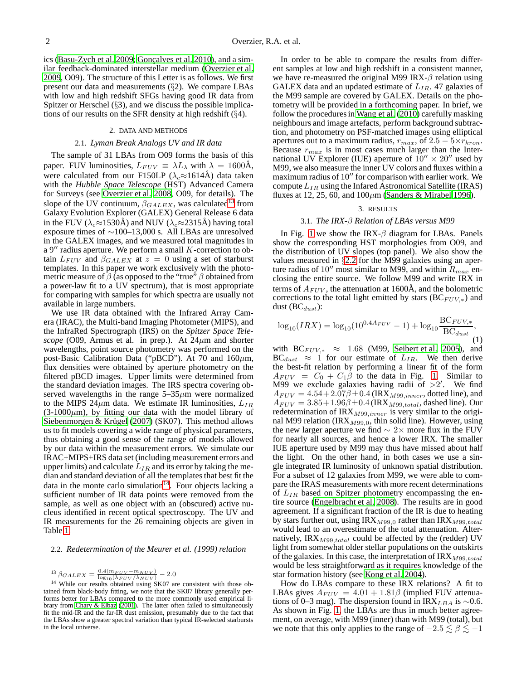ics [\(Basu-Zych et al. 2009](#page-5-34); Gonçalves et al. 2010), and a similar feedback-dominated interstellar medium [\(Overzier et](#page-5-36) al. [2009,](#page-5-36) O09). The structure of this Letter is as follows. We first present our data and measurements (§2). We compare LBAs with low and high redshift SFGs having good IR data from Spitzer or Herschel  $(\S$ 3), and we discuss the possible implications of our results on the SFR density at high redshift (§4).

### 2. DATA AND METHODS

# 2.1. *Lyman Break Analogs UV and IR data*

The sample of 31 LBAs from O09 forms the basis of this paper. FUV luminosities,  $L_{FUV} \equiv \lambda L_{\lambda}$  with  $\lambda = 1600 \text{\AA}$ , were calculated from our F150LP ( $\lambda_c \approx 1614$ Å) data taken with the *Hubble Space Telescope* (HST) Advanced Camera for Surveys (see [Overzier et al. 2008](#page-5-32), O09, for details). The slope of the UV continuum,  $\beta_{GALEX}$ , was calculated<sup>[13](#page-1-0)</sup> from Galaxy Evolution Explorer (GALEX) General Release 6 data in the FUV ( $\lambda_c \approx 1530$ Å) and NUV ( $\lambda_c \approx 2315$ Å) having total exposure times of ∼100–13,000 s. All LBAs are unresolved in the GALEX images, and we measured total magnitudes in a  $9''$  radius aperture. We perform a small  $K$ -correction to obtain  $L_{FUV}$  and  $\beta_{GALEX}$  at  $z = 0$  using a set of starburst templates. In this paper we work exclusively with the photometric measure of  $\beta$  (as opposed to the "true"  $\beta$  obtained from a power-law fit to a UV spectrum), that is most appropriate for comparing with samples for which spectra are usually not available in large numbers.

We use IR data obtained with the Infrared Array Camera (IRAC), the Multi-band Imaging Photometer (MIPS), and the InfraRed Spectrograph (IRS) on the *Spitzer Space Telescope* (O09, Armus et al. in prep.). At  $24\mu$ m and shorter wavelengths, point source photometry was performed on the post-Basic Calibration Data ("pBCD"). At 70 and 160 $\mu$ m, flux densities were obtained by aperture photometry on the filtered pBCD images. Upper limits were determined from the standard deviation images. The IRS spectra covering observed wavelengths in the range  $5-35\mu m$  were normalized to the MIPS 24 $\mu$ m data. We estimate IR luminosities,  $L_{IR}$  $(3-1000\mu m)$ , by fitting our data with the model library of Siebenmorgen & Krügel [\(2007\)](#page-5-37) (SK07). This method allows us to fit models covering a wide range of physical parameters, thus obtaining a good sense of the range of models allowed by our data within the measurement errors. We simulate our IRAC+MIPS+IRS data set (including measurement errors and upper limits) and calculate  $L_{IR}$  and its error by taking the median and standard deviation of all the templates that best fit the data in the monte carlo simulation $14$ . Four objects lacking a sufficient number of IR data points were removed from the sample, as well as one object with an (obscured) active nucleus identified in recent optical spectroscopy. The UV and IR measurements for the 26 remaining objects are given in Table [1.](#page-5-38)

## <span id="page-1-2"></span>2.2. *Redetermination of the Meurer et al. (1999) relation*

<span id="page-1-1"></span><span id="page-1-0"></span>
$$
\beta_{GALEX} = \frac{0.4(m_{FUV}-m_{NUV})}{\log(\Delta)} - 2.0
$$

<sup>13</sup>  $\beta_{GALEX} = \frac{0.4(m_{FUV} - m_{NUV})}{\log_{10}(\lambda_{FUV}/\lambda_{NUV})} - 2.0$ <br><sup>14</sup> While our results obtained using SK07 are consistent with those obtained from black-body fitting, we note that the SK07 library generally performs better for LBAs compared to the more commonly used empirical li-brary from [Chary & Elbaz \(2001\)](#page-5-39). The latter often failed to simultaneously fit the mid-IR and the far-IR dust emission, presumably due to the fact that the LBAs show a greater spectral variation than typical IR-selected starbursts in the local universe.

In order to be able to compare the results from different samples at low and high redshift in a consistent manner, we have re-measured the original M99 IRX- $\beta$  relation using GALEX data and an updated estimate of  $L_{IR}$ . 47 galaxies of the M99 sample are covered by GALEX. Details on the photometry will be provided in a forthcoming paper. In brief, we follow the procedures in [Wang et al. \(2010\)](#page-5-40) carefully masking neighbours and image artefacts, perform background subtraction, and photometry on PSF-matched images using elliptical apertures out to a maximum radius,  $r_{max}$ , of  $2.5 - 5 \times r_{kron}$ . Because  $r_{max}$  is in most cases much larger than the International UV Explorer (IUE) aperture of  $10'' \times 20''$  used by M99, we also measure the inner UV colors and fluxes within a maximum radius of  $10''$  for comparison with earlier work. We compute  $L_{IR}$  using the Infared Astronomical Satellite (IRAS) fluxes at 12, 25, 60, and  $100 \mu m$  [\(Sanders & Mirabel 1996\)](#page-5-41).

#### 3. RESULTS

## 3.1. *The IRX-*β *Relation of LBAs versus M99*

In Fig. [1](#page-2-0) we show the IRX- $\beta$  diagram for LBAs. Panels show the corresponding HST morphologies from O09, and the distribution of UV slopes (top panel). We also show the values measured in §[2.2](#page-1-2) for the M99 galaxies using an aperture radius of 10<sup>"</sup> most similar to M99, and within  $R_{max}$  enclosing the entire source. We follow M99 and write IRX in terms of  $A_{FUV}$ , the attenuation at 1600Å, and the bolometric corrections to the total light emitted by stars ( $BC_{FUV,*}$ ) and dust  $(BC_{dust})$ :

$$
\log_{10}(IRX) = \log_{10}(10^{0.4A_{FUV}} - 1) + \log_{10}\frac{BC_{FUV,*}}{BC_{dust}},
$$
\n(1)

with  $BC_{FUV,*} \approx 1.68$  (M99, [Seibert et al. 2005\)](#page-5-4), and  $BC_{dust} \approx 1$  for our estimate of  $L_{IR}$ . We then derive the best-fit relation by performing a linear fit of the form  $A_{FUV} = C_0 + C_1 \beta$  to the data in Fig. [1.](#page-2-0) Similar to M99 we exclude galaxies having radii of  $>2'$ . We find  $A_{FUV} = 4.54 + 2.07\beta \pm 0.4$  (IRX<sub>M99,inner</sub>, dotted line), and  $A_{FUV} = 3.85 + 1.96\beta \pm 0.4$  (IRX<sub>M99,total</sub>, dashed line). Our redetermination of  $IRX_{M99,inner}$  is very similar to the original M99 relation (IRX<sub>M99,0</sub>, thin solid line). However, using the new larger aperture we find  $\sim$  2× more flux in the FUV for nearly all sources, and hence a lower IRX. The smaller IUE aperture used by M99 may thus have missed about half the light. On the other hand, in both cases we use a single integrated IR luminosity of unknown spatial distribution. For a subset of 12 galaxies from M99, we were able to compare the IRAS measurements with more recent determinations of  $L_{IR}$  based on Spitzer photometry encompassing the entire source [\(Engelbracht et al. 2008\)](#page-5-42). The results are in good agreement. If a significant fraction of the IR is due to heating by stars further out, using  $IRX_{M99,0}$  rather than  $IRX_{M99,total}$ would lead to an overestimate of the total attenuation. Alternatively, IRX $_{M99, total}$  could be affected by the (redder) UV light from somewhat older stellar populations on the outskirts of the galaxies. In this case, the interpretation of  $IRX_{M99,total}$ would be less straightforward as it requires knowledge of the star formation history (see [Kong et al. 2004](#page-5-7)).

How do LBAs compare to these IRX relations? A fit to LBAs gives  $A_{FUV} = 4.01 + 1.81\beta$  (implied FUV attenuations of 0–3 mag). The dispersion found in IRX<sub>LBA</sub> is ∼0.6. As shown in Fig. [1,](#page-2-0) the LBAs are thus in much better agreement, on average, with M99 (inner) than with M99 (total), but we note that this only applies to the range of  $-2.5 \lesssim \beta \lesssim -1$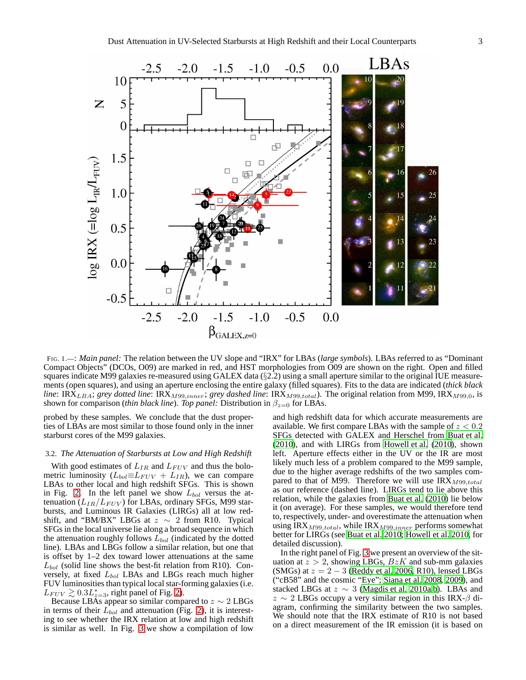

<span id="page-2-0"></span>FIG. 1.—: *Main panel:* The relation between the UV slope and "IRX" for LBAs (*large symbols*). LBAs referred to as "Dominant Compact Objects" (DCOs, O09) are marked in red, and HST morphologies from O09 are shown on the right. Open and filled squares indicate M99 galaxies re-measured using  $GALEX$  data  $(\S2.2)$  using a small aperture similar to the original IUE measurements (open squares), and using an aperture enclosing the entire galaxy (filled squares). Fits to the data are indicated (*thick black line*: IRX<sub>LBA</sub>; *grey dotted line*: IRX<sub>M99,inner; *grey dashed line*: IRX<sub>M99,total). The original relation from M99, IRX<sub>M99,0</sub>, is</sub></sub> shown for comparison (*thin black line*). *Top panel:* Distribution in  $\beta_{z=0}$  for LBAs.

probed by these samples. We conclude that the dust properties of LBAs are most similar to those found only in the inner starburst cores of the M99 galaxies.

# 3.2. *The Attenuation of Starbursts at Low and High Redshift*

With good estimates of  $L_{IR}$  and  $L_{FUV}$  and thus the bolometric luminosity ( $L_{bol} \equiv L_{FUV} + L_{IR}$ ), we can compare LBAs to other local and high redshift SFGs. This is shown in Fig. [2.](#page-3-0) In the left panel we show  $L_{bol}$  versus the attenuation  $(L_{IR}/L_{FUV})$  for LBAs, ordinary SFGs, M99 starbursts, and Luminous IR Galaxies (LIRGs) all at low redshift, and "BM/BX" LBGs at  $z \sim 2$  from R10. Typical SFGs in the local universe lie along a broad sequence in which the attenuation roughly follows  $L_{bol}$  (indicated by the dotted line). LBAs and LBGs follow a similar relation, but one that is offset by 1–2 dex toward lower attenuations at the same  $L_{bol}$  (solid line shows the best-fit relation from R10). Conversely, at fixed  $L_{bol}$  LBAs and LBGs reach much higher FUV luminosities than typical local star-forming galaxies(i.e.  $L_{FUV} \gtrsim 0.3 L_{z=3}^*$ , right panel of Fig. [2\)](#page-3-0).

Because LBAs appear so similar compared to  $z \sim 2$  LBGs in terms of their  $\overline{L_{bol}}$  and attenuation (Fig. [2\)](#page-3-0), it is interesting to see whether the IRX relation at low and high redshift is similar as well. In Fig. [3](#page-4-1) we show a compilation of low

and high redshift data for which accurate measurements are available. We first compare LBAs with the sample of  $z < 0.2$ SFGs detected with GALEX and Herschel from [Buat et al.](#page-5-43) [\(2010\)](#page-5-43), and with LIRGs from [Howell et al.](#page-5-44) [\(2010\)](#page-5-44), shown left. Aperture effects either in the UV or the IR are most likely much less of a problem compared to the M99 sample, due to the higher average redshifts of the two samples compared to that of M99. Therefore we will use  $IRX_{M99, total}$ as our reference (dashed line). LIRGs tend to lie above this relation, while the galaxies from [Buat et al.](#page-5-43) [\(2010\)](#page-5-43) lie below it (on average). For these samples, we would therefore tend to, respectively, under- and overestimate the attenuation when using IRX<sub>M99,total</sub>, while IRX<sub>M99,inner</sub> performs somewhat better for LIRGs (see [Buat et al. 2010](#page-5-43); [Howell et al. 2010,](#page-5-44) for detailed discussion).

In the right panel of Fig. [3](#page-4-1) we present an overview of the situation at  $z > 2$ , showing LBGs,  $BzK$  and sub-mm galaxies (SMGs) at  $z = 2 - 3$  [\(Reddy et al. 2006,](#page-5-20) R10), lensed LBGs ("cB58" and the cosmic "Eye"; [Siana et al. 2008,](#page-5-18) [2009\)](#page-5-19), and stacked LBGs at  $z \sim 3$  [\(Magdis et al. 2010a](#page-5-24)[,b](#page-5-25)). LBAs and  $z \sim 2$  LBGs occupy a very similar region in this IRX- $\beta$  diagram, confirming the similarity between the two samples. We should note that the IRX estimate of R10 is not based on a direct measurement of the IR emission (it is based on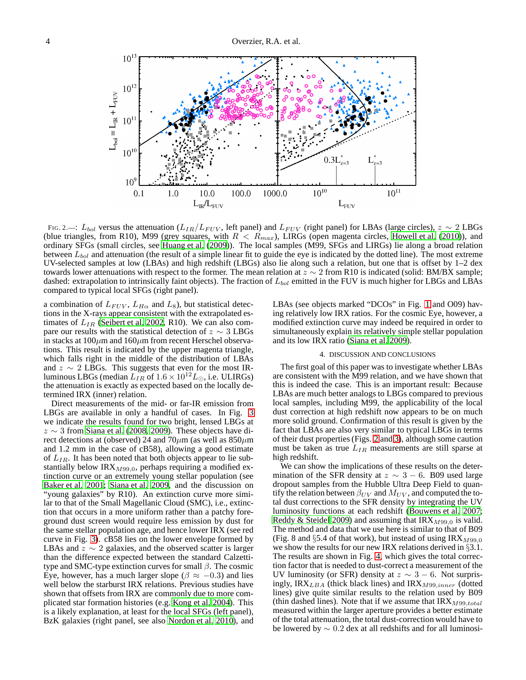

<span id="page-3-0"></span>FIG. 2.—:  $L_{bol}$  versus the attenuation ( $L_{IR}/L_{FUV}$ , left panel) and  $L_{FUV}$  (right panel) for LBAs (large circles),  $z \sim 2$  LBGs (blue triangles, from R10), M99 (grey squares, with  $R < R_{max}$ ), LIRGs (open magenta circles, [Howell et al.](#page-5-44) [\(2010\)](#page-5-44)), and ordinary SFGs (small circles, see [Huang et al. \(2009\)](#page-5-45)). The local samples (M99, SFGs and LIRGs) lie along a broad relation between  $L_{bol}$  and attenuation (the result of a simple linear fit to guide the eye is indicated by the dotted line). The most extreme UV-selected samples at low (LBAs) and high redshift (LBGs) also lie along such a relation, but one that is offset by 1–2 dex towards lower attenuations with respect to the former. The mean relation at  $z \sim 2$  from R10 is indicated (solid: BM/BX sample; dashed: extrapolation to intrinsically faint objects). The fraction of  $L_{bol}$  emitted in the FUV is much higher for LBGs and LBAs compared to typical local SFGs (right panel).

a combination of  $L_{FUV}$ ,  $L_{H\alpha}$  and  $L_8$ ), but statistical detections in the X-rays appear consistent with the extrapolated estimates of  $L_{IR}$  [\(Seibert et al. 2002,](#page-5-22) R10). We can also compare our results with the statistical detection of  $z \sim 3$  LBGs in stacks at  $100 \mu m$  and  $160 \mu m$  from recent Herschel observations. This result is indicated by the upper magenta triangle, which falls right in the middle of the distribution of LBAs and  $z \sim 2$  LBGs. This suggests that even for the most IRluminous LBGs (median  $L_{IR}$  of  $1.6 \times 10^{12} L_{\odot}$ , i.e. ULIRGs) the attenuation is exactly as expected based on the locally determined IRX (inner) relation.

Direct measurements of the mid- or far-IR emission from LBGs are available in only a handful of cases. In Fig. [3](#page-4-1) we indicate the results found for two bright, lensed LBGs at  $z \sim 3$  from [Siana et al. \(2008](#page-5-18), [2009\)](#page-5-19). These objects have direct detections at (observed) 24 and 70 $\mu$ m (as well as 850 $\mu$ m and 1.2 mm in the case of cB58), allowing a good estimate of  $L_{IR}$ . It has been noted that both objects appear to lie substantially below IR $X_{M99,0}$ , perhaps requiring a modified extinction curve or an extremely young stellar population (see [Baker et al. 2001;](#page-4-2) [Siana et al. 2009](#page-5-19), and the discussion on "young galaxies" by R10). An extinction curve more similar to that of the Small Magellanic Cloud (SMC), i.e., extinction that occurs in a more uniform rather than a patchy foreground dust screen would require less emission by dust for the same stellar population age, and hence lower IRX (see red curve in Fig. [3\)](#page-4-1). cB58 lies on the lower envelope formed by LBAs and  $z \sim 2$  galaxies, and the observed scatter is larger than the difference expected between the standard Calzettitype and SMC-type extinction curves for small  $\beta$ . The cosmic Eye, however, has a much larger slope ( $\beta \approx -0.3$ ) and lies well below the starburst IRX relations. Previous studies have shown that offsets from IRX are commonly due to more complicated star formation histories (e.g. [Kong et al. 2004\)](#page-5-7). This is a likely explanation, at least for the local SFGs (left panel), BzK galaxies (right panel, see also [Nordon et al. 2010\)](#page-5-46), and

LBAs (see objects marked "DCOs" in Fig. [1](#page-2-0) and O09) having relatively low IRX ratios. For the cosmic Eye, however, a modified extinction curve may indeed be required in order to simultaneously explain its relatively simple stellar population and its low IRX ratio [\(Siana et al. 2009\)](#page-5-19).

### 4. DISCUSSION AND CONCLUSIONS

The first goal of this paper was to investigate whether LBAs are consistent with the M99 relation, and we have shown that this is indeed the case. This is an important result: Because LBAs are much better analogs to LBGs compared to previous local samples, including M99, the applicability of the local dust correction at high redshift now appears to be on much more solid ground. Confirmation of this result is given by the fact that LBAs are also very similar to typical LBGs in terms of their dust properties (Figs. [2](#page-3-0) and [3\)](#page-4-1), although some caution must be taken as true  $L_{IR}$  measurements are still sparse at high redshift.

We can show the implications of these results on the determination of the SFR density at  $z \sim 3 - 6$ . B09 used large dropout samples from the Hubble Ultra Deep Field to quantify the relation between  $\beta_{UV}$  and  $M_{UV}$ , and computed the total dust corrections to the SFR density by integrating the UV luminosity functions at each redshift [\(Bouwens et al. 2007](#page-5-47); [Reddy & Steidel 2009\)](#page-5-48) and assuming that  $IRX_{M99,0}$  is valid. The method and data that we use here is similar to that of B09 (Fig. 8 and  $\S$ 5.4 of that work), but instead of using IRX $_{M99,0}$ we show the results for our new IRX relations derived in §3.1. The results are shown in Fig. [4,](#page-4-3) which gives the total correction factor that is needed to dust-correct a measurement of the UV luminosity (or SFR) density at  $z \sim 3 - 6$ . Not surprisingly, IRX<sub>LBA</sub> (thick black lines) and IRX<sub>M99,inner</sub> (dotted lines) give quite similar results to the relation used by B09 (thin dashed lines). Note that if we assume that  $IRX_{M99,total}$ measured within the larger aperture provides a better estimate of the total attenuation, the total dust-correction would have to be lowered by ∼ 0.2 dex at all redshifts and for all luminosi-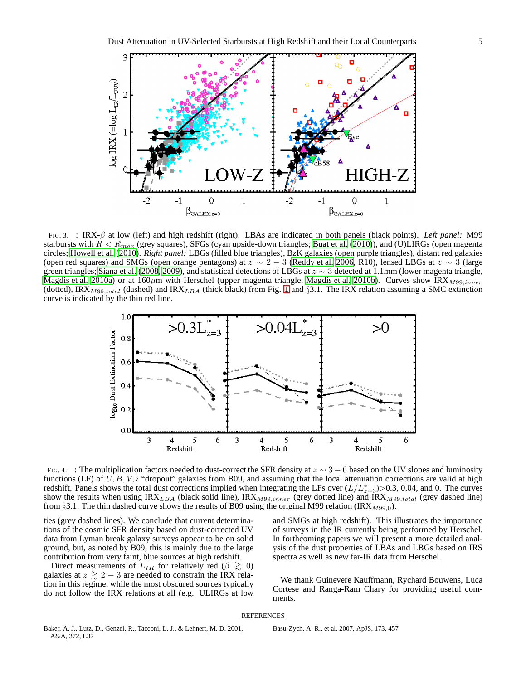

<span id="page-4-1"></span>FIG. 3.—: IRX-β at low (left) and high redshift (right). LBAs are indicated in both panels (black points). *Left panel:* M99 starbursts with  $R < R_{max}$  (grey squares), SFGs (cyan upside-down triangles; [Buat et al.](#page-5-43) [\(2010\)](#page-5-43)), and (U)LIRGs (open magenta circles; [Howell et al.](#page-5-44) [\(2010\)](#page-5-44). *Right panel:* LBGs (filled blue triangles), BzK galaxies (open purple triangles), distant red galaxies (open red squares) and SMGs (open orange pentagons) at  $z \sim 2 - 3$  [\(Reddy et al. 2006,](#page-5-20) R10), lensed LBGs at  $z \sim 3$  (large green triangles; [Siana et al.](#page-5-18) [\(2008,](#page-5-18) [2009](#page-5-19)), and statistical detections of LBGs at  $z \sim 3$  detected at 1.1mm (lower magenta triangle, [Magdis et al. 2010a\)](#page-5-24) or at 160 $\mu$ m with Herschel (upper magenta triangle, [Magdis et al. 2010b\)](#page-5-25). Curves show IRX $_{M99,inner}$ (dotted), IRX<sub>M99,total</sub> (dashed) and IRX<sub>LBA</sub> (thick black) from Fig. [1](#page-2-0) and §3.1. The IRX relation assuming a SMC extinction curve is indicated by the thin red line.



<span id="page-4-3"></span>FIG. 4.—: The multiplication factors needed to dust-correct the SFR density at  $z \sim 3 - 6$  based on the UV slopes and luminosity functions (LF) of  $U, B, V, i$  "dropout" galaxies from B09, and assuming that the local attenuation corrections are valid at high redshift. Panels shows the total dust corrections implied when integrating the LFs over  $(L/L^*_{z=3})>0.3$ , 0.04, and 0. The curves show the results when using IRX<sub>LBA</sub> (black solid line), IRX<sub>M99,inner</sub> (grey dotted line) and IRX<sub>M99,total</sub> (grey dashed line) from §3.1. The thin dashed curve shows the results of B09 using the original M99 relation (IRX<sub>M99.0</sub>).

ties (grey dashed lines). We conclude that current determinations of the cosmic SFR density based on dust-corrected UV data from Lyman break galaxy surveys appear to be on solid ground, but, as noted by B09, this is mainly due to the large contribution from very faint, blue sources at high redshift.

Direct measurements of  $L_{IR}$  for relatively red ( $\beta \geq 0$ ) galaxies at  $z \gtrsim 2 - 3$  are needed to constrain the IRX relation in this regime, while the most obscured sources typically do not follow the IRX relations at all (e.g. ULIRGs at low

and SMGs at high redshift). This illustrates the importance of surveys in the IR currently being performed by Herschel. In forthcoming papers we will present a more detailed analysis of the dust properties of LBAs and LBGs based on IRS spectra as well as new far-IR data from Herschel.

We thank Guinevere Kauffmann, Rychard Bouwens, Luca Cortese and Ranga-Ram Chary for providing useful comments.

#### REFERENCES

<span id="page-4-2"></span>Baker, A. J., Lutz, D., Genzel, R., Tacconi, L. J., & Lehnert, M. D. 2001, A&A, 372, L37

<span id="page-4-0"></span>Basu-Zych, A. R., et al. 2007, ApJS, 173, 457